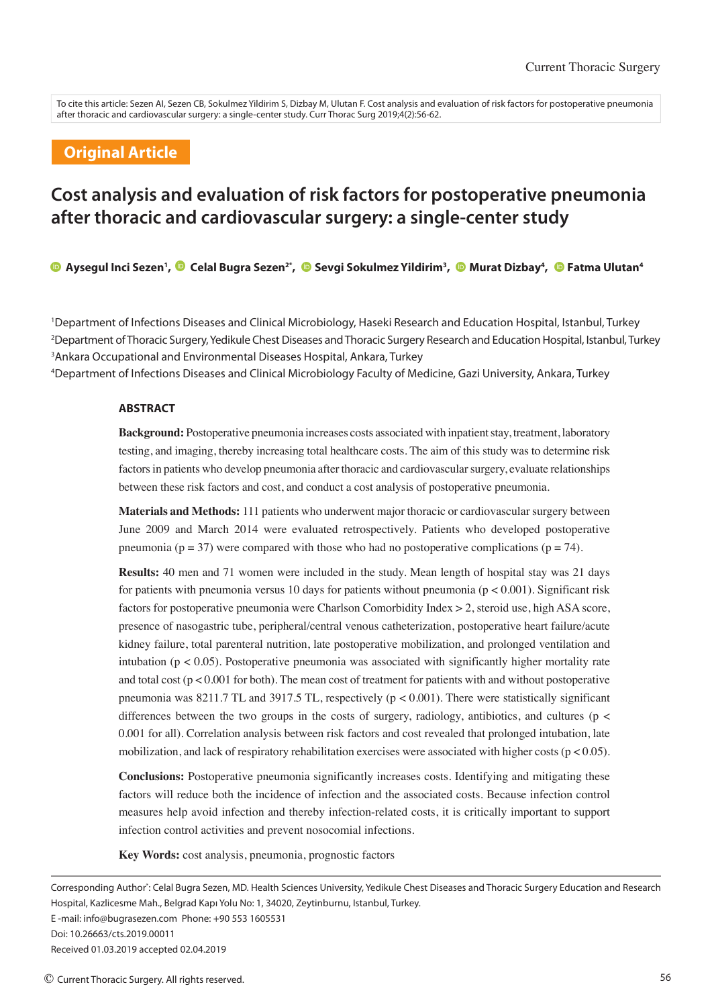To cite this article: Sezen AI, Sezen CB, Sokulmez Yildirim S, Dizbay M, Ulutan F. Cost analysis and evaluation of risk factors for postoperative pneumonia after thoracic and cardiovascular surgery: a single-center study. Curr Thorac Surg 2019;4(2):56-62.

# **Original Article**

# **Cost analysis and evaluation of risk factors for postoperative pneumonia after thoracic and cardiovascular surgery: a single-center study**

**Aysegul Inci Sezen<sup>1</sup> , Celal Bugra Sezen2\* , Sevgi Sokulmez Yildirim<sup>3</sup> , Murat Dizbay<sup>4</sup> , Fatma Ulutan<sup>4</sup>**

<sup>1</sup>Department of Infections Diseases and Clinical Microbiology, Haseki Research and Education Hospital, Istanbul, Turkey <sup>2</sup>Department ofThoracic Surgery, Yedikule Chest Diseases andThoracic Surgery Research and Education Hospital, Istanbul, Turkey <sup>3</sup>Ankara Occupational and Environmental Diseases Hospital, Ankara, Turkey

<sup>4</sup>Department of Infections Diseases and Clinical Microbiology Faculty of Medicine, Gazi University, Ankara, Turkey

#### **ABSTRACT**

**Background:** Postoperative pneumonia increases costs associated with inpatient stay, treatment, laboratory testing, and imaging, thereby increasing total healthcare costs. The aim of this study was to determine risk factors in patients who develop pneumonia after thoracic and cardiovascular surgery, evaluate relationships between these risk factors and cost, and conduct a cost analysis of postoperative pneumonia.

**Materials and Methods:** 111 patients who underwent major thoracic or cardiovascular surgery between June 2009 and March 2014 were evaluated retrospectively. Patients who developed postoperative pneumonia ( $p = 37$ ) were compared with those who had no postoperative complications ( $p = 74$ ).

**Results:** 40 men and 71 women were included in the study. Mean length of hospital stay was 21 days for patients with pneumonia versus 10 days for patients without pneumonia ( $p < 0.001$ ). Significant risk factors for postoperative pneumonia were Charlson Comorbidity Index > 2, steroid use, high ASA score, presence of nasogastric tube, peripheral/central venous catheterization, postoperative heart failure/acute kidney failure, total parenteral nutrition, late postoperative mobilization, and prolonged ventilation and intubation ( $p < 0.05$ ). Postoperative pneumonia was associated with significantly higher mortality rate and total cost ( $p < 0.001$  for both). The mean cost of treatment for patients with and without postoperative pneumonia was  $8211.7$  TL and  $3917.5$  TL, respectively ( $p < 0.001$ ). There were statistically significant differences between the two groups in the costs of surgery, radiology, antibiotics, and cultures (p < 0.001 for all). Correlation analysis between risk factors and cost revealed that prolonged intubation, late mobilization, and lack of respiratory rehabilitation exercises were associated with higher costs ( $p < 0.05$ ).

**Conclusions:** Postoperative pneumonia significantly increases costs. Identifying and mitigating these factors will reduce both the incidence of infection and the associated costs. Because infection control measures help avoid infection and thereby infection-related costs, it is critically important to support infection control activities and prevent nosocomial infections.

**Key Words:** cost analysis, pneumonia, prognostic factors

Doi: 10.26663/cts.2019.00011

Corresponding Author\* : Celal Bugra Sezen, MD. Health Sciences University, Yedikule Chest Diseases and Thoracic Surgery Education and Research Hospital, Kazlicesme Mah., Belgrad Kapı Yolu No: 1, 34020, Zeytinburnu, Istanbul, Turkey. E -mail: info@bugrasezen.com Phone: +90 553 1605531

Received 01.03.2019 accepted 02.04.2019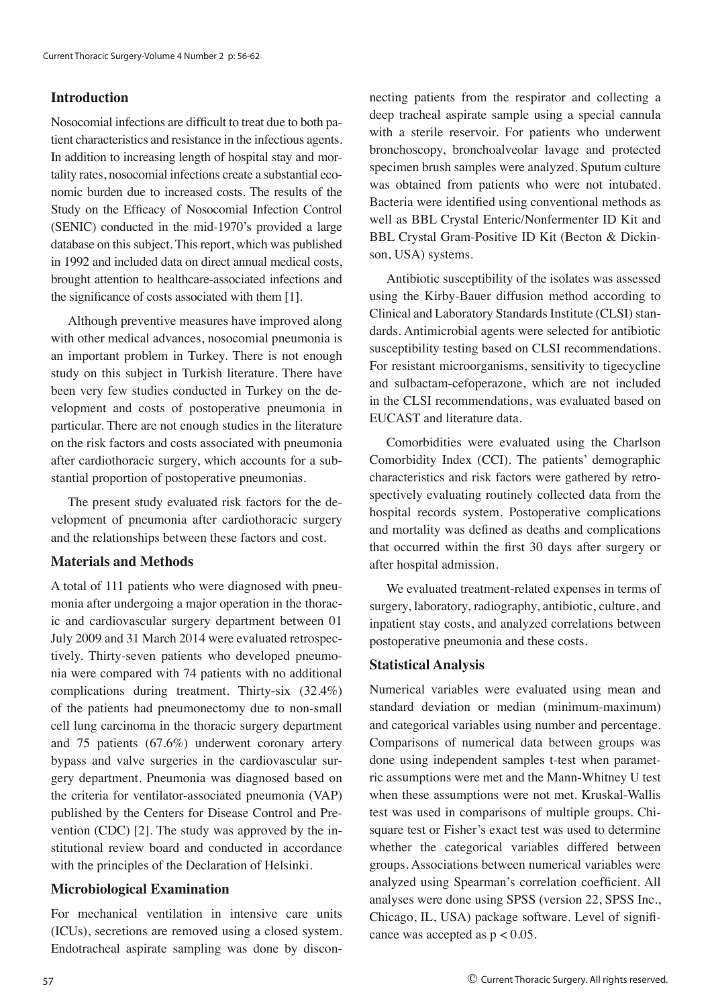# **Introduction**

Nosocomial infections are difficult to treat due to both patient characteristics and resistance in the infectious agents. In addition to increasing length of hospital stay and mortality rates, nosocomial infections create a substantial economic burden due to increased costs. The results of the Study on the Efficacy of Nosocomial Infection Control (SENIC) conducted in the mid-1970's provided a large database on this subject. This report, which was published in 1992 and included data on direct annual medical costs, brought attention to healthcare-associated infections and the significance of costs associated with them [1].

Although preventive measures have improved along with other medical advances, nosocomial pneumonia is an important problem in Turkey. There is not enough study on this subject in Turkish literature. There have been very few studies conducted in Turkey on the development and costs of postoperative pneumonia in particular. There are not enough studies in the literature on the risk factors and costs associated with pneumonia after cardiothoracic surgery, which accounts for a substantial proportion of postoperative pneumonias.

The present study evaluated risk factors for the development of pneumonia after cardiothoracic surgery and the relationships between these factors and cost.

#### **Materials and Methods**

A total of 111 patients who were diagnosed with pneumonia after undergoing a major operation in the thoracic and cardiovascular surgery department between 01 July 2009 and 31 March 2014 were evaluated retrospectively. Thirty-seven patients who developed pneumonia were compared with 74 patients with no additional complications during treatment. Thirty-six (32.4%) of the patients had pneumonectomy due to non-small cell lung carcinoma in the thoracic surgery department and 75 patients (67.6%) underwent coronary artery bypass and valve surgeries in the cardiovascular surgery department. Pneumonia was diagnosed based on the criteria for ventilator-associated pneumonia (VAP) published by the Centers for Disease Control and Prevention (CDC) [2]. The study was approved by the institutional review board and conducted in accordance with the principles of the Declaration of Helsinki.

#### **Microbiological Examination**

For mechanical ventilation in intensive care units (ICUs), secretions are removed using a closed system. Endotracheal aspirate sampling was done by discon-

necting patients from the respirator and collecting a deep tracheal aspirate sample using a special cannula with a sterile reservoir. For patients who underwent bronchoscopy, bronchoalveolar lavage and protected specimen brush samples were analyzed. Sputum culture was obtained from patients who were not intubated. Bacteria were identified using conventional methods as well as BBL Crystal Enteric/Nonfermenter ID Kit and BBL Crystal Gram-Positive ID Kit (Becton & Dickinson, USA) systems.

Antibiotic susceptibility of the isolates was assessed using the Kirby-Bauer diffusion method according to Clinical and Laboratory Standards Institute (CLSI) standards. Antimicrobial agents were selected for antibiotic susceptibility testing based on CLSI recommendations. For resistant microorganisms, sensitivity to tigecycline and sulbactam-cefoperazone, which are not included in the CLSI recommendations, was evaluated based on EUCAST and literature data.

Comorbidities were evaluated using the Charlson Comorbidity Index (CCI). The patients' demographic characteristics and risk factors were gathered by retrospectively evaluating routinely collected data from the hospital records system. Postoperative complications and mortality was defined as deaths and complications that occurred within the first 30 days after surgery or after hospital admission.

We evaluated treatment-related expenses in terms of surgery, laboratory, radiography, antibiotic, culture, and inpatient stay costs, and analyzed correlations between postoperative pneumonia and these costs.

# **Statistical Analysis**

Numerical variables were evaluated using mean and standard deviation or median (minimum-maximum) and categorical variables using number and percentage. Comparisons of numerical data between groups was done using independent samples t-test when parametric assumptions were met and the Mann-Whitney U test when these assumptions were not met. Kruskal-Wallis test was used in comparisons of multiple groups. Chisquare test or Fisher's exact test was used to determine whether the categorical variables differed between groups. Associations between numerical variables were analyzed using Spearman's correlation coefficient. All analyses were done using SPSS (version 22, SPSS Inc., Chicago, IL, USA) package software. Level of significance was accepted as  $p < 0.05$ .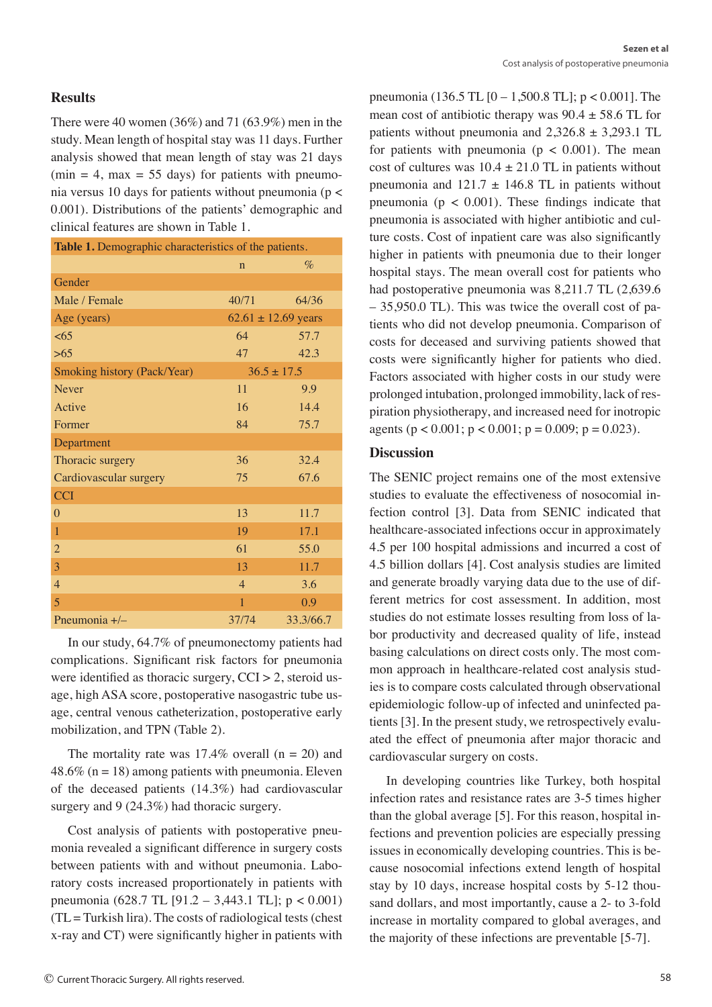#### **Results**

There were 40 women  $(36\%)$  and 71  $(63.9\%)$  men in the study. Mean length of hospital stay was 11 days. Further analysis showed that mean length of stay was 21 days  $(min = 4, max = 55 \text{ days})$  for patients with pneumonia versus 10 days for patients without pneumonia (p < 0.001). Distributions of the patients' demographic and clinical features are shown in Table 1.

| Table 1. Demographic characteristics of the patients. |                |                         |  |  |  |
|-------------------------------------------------------|----------------|-------------------------|--|--|--|
|                                                       | $\mathbf n$    | $\%$                    |  |  |  |
| Gender                                                |                |                         |  |  |  |
| Male / Female                                         | 40/71          | 64/36                   |  |  |  |
| Age (years)                                           |                | $62.61 \pm 12.69$ years |  |  |  |
| <65                                                   | 64             | 57.7                    |  |  |  |
| >65                                                   | 47             | 42.3                    |  |  |  |
| Smoking history (Pack/Year)                           |                | $36.5 \pm 17.5$         |  |  |  |
| <b>Never</b>                                          | 11             | 9.9                     |  |  |  |
| Active                                                | 16             | 14.4                    |  |  |  |
| Former                                                | 84             | 75.7                    |  |  |  |
| Department                                            |                |                         |  |  |  |
| Thoracic surgery                                      | 36             | 32.4                    |  |  |  |
| Cardiovascular surgery                                | 75             | 67.6                    |  |  |  |
| <b>CCI</b>                                            |                |                         |  |  |  |
| $\theta$                                              | 13             | 11.7                    |  |  |  |
| $\mathbf{1}$                                          | 19             | 17.1                    |  |  |  |
| $\overline{2}$                                        | 61             | 55.0                    |  |  |  |
| 3                                                     | 13             | 11.7                    |  |  |  |
| $\overline{4}$                                        | $\overline{4}$ | 3.6                     |  |  |  |
| $\overline{5}$                                        | $\overline{1}$ | 0.9                     |  |  |  |
| Pneumonia +/-                                         | 37/74          | 33.3/66.7               |  |  |  |

In our study, 64.7% of pneumonectomy patients had complications. Significant risk factors for pneumonia were identified as thoracic surgery,  $CCI > 2$ , steroid usage, high ASA score, postoperative nasogastric tube usage, central venous catheterization, postoperative early mobilization, and TPN (Table 2).

The mortality rate was  $17.4\%$  overall (n = 20) and 48.6% ( $n = 18$ ) among patients with pneumonia. Eleven of the deceased patients (14.3%) had cardiovascular surgery and 9 (24.3%) had thoracic surgery.

Cost analysis of patients with postoperative pneumonia revealed a significant difference in surgery costs between patients with and without pneumonia. Laboratory costs increased proportionately in patients with pneumonia (628.7 TL [91.2 – 3,443.1 TL]; p < 0.001)  $(TL = Turkish Iira)$ . The costs of radiological tests (chest x-ray and CT) were significantly higher in patients with

pneumonia (136.5 TL [0 – 1,500.8 TL]; p < 0.001]. The mean cost of antibiotic therapy was  $90.4 \pm 58.6$  TL for patients without pneumonia and  $2,326.8 \pm 3,293.1$  TL for patients with pneumonia ( $p < 0.001$ ). The mean cost of cultures was  $10.4 \pm 21.0$  TL in patients without pneumonia and  $121.7 \pm 146.8$  TL in patients without pneumonia ( $p < 0.001$ ). These findings indicate that pneumonia is associated with higher antibiotic and culture costs. Cost of inpatient care was also significantly higher in patients with pneumonia due to their longer hospital stays. The mean overall cost for patients who had postoperative pneumonia was 8,211.7 TL (2,639.6 – 35,950.0 TL). This was twice the overall cost of patients who did not develop pneumonia. Comparison of costs for deceased and surviving patients showed that costs were significantly higher for patients who died. Factors associated with higher costs in our study were prolonged intubation, prolonged immobility, lack of respiration physiotherapy, and increased need for inotropic agents ( $p < 0.001$ ;  $p < 0.001$ ;  $p = 0.009$ ;  $p = 0.023$ ).

## **Discussion**

The SENIC project remains one of the most extensive studies to evaluate the effectiveness of nosocomial infection control [3]. Data from SENIC indicated that healthcare-associated infections occur in approximately 4.5 per 100 hospital admissions and incurred a cost of 4.5 billion dollars [4]. Cost analysis studies are limited and generate broadly varying data due to the use of different metrics for cost assessment. In addition, most studies do not estimate losses resulting from loss of labor productivity and decreased quality of life, instead basing calculations on direct costs only. The most common approach in healthcare-related cost analysis studies is to compare costs calculated through observational epidemiologic follow-up of infected and uninfected patients [3]. In the present study, we retrospectively evaluated the effect of pneumonia after major thoracic and cardiovascular surgery on costs.

In developing countries like Turkey, both hospital infection rates and resistance rates are 3-5 times higher than the global average [5]. For this reason, hospital infections and prevention policies are especially pressing issues in economically developing countries. This is because nosocomial infections extend length of hospital stay by 10 days, increase hospital costs by 5-12 thousand dollars, and most importantly, cause a 2- to 3-fold increase in mortality compared to global averages, and the majority of these infections are preventable [5-7].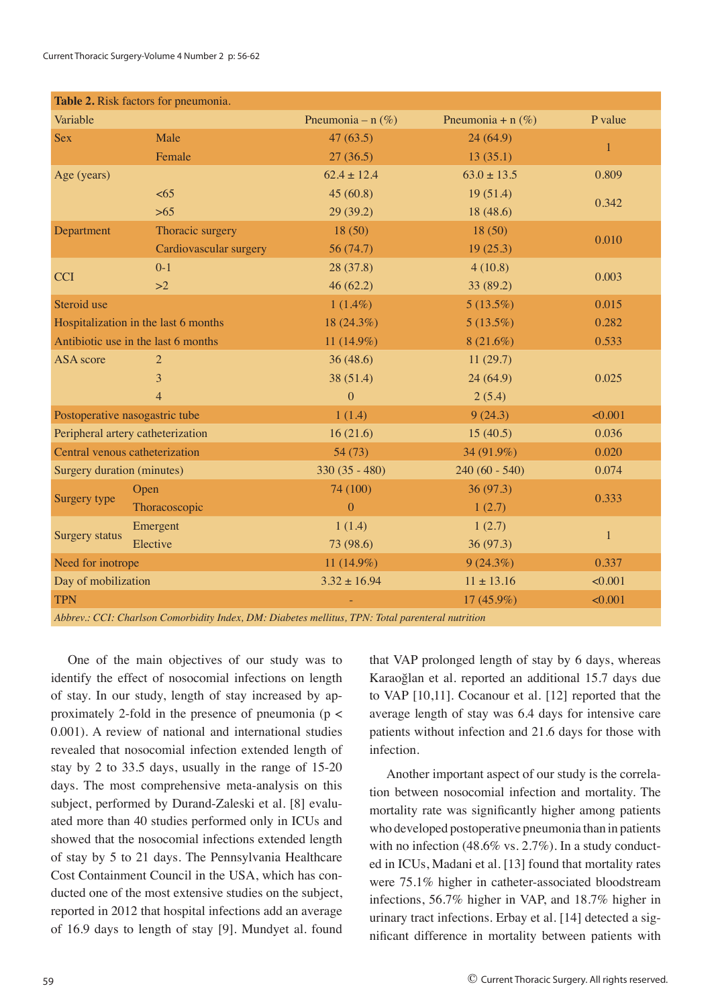| Table 2. Risk factors for pneumonia.                                                             |                        |                      |                      |              |  |  |
|--------------------------------------------------------------------------------------------------|------------------------|----------------------|----------------------|--------------|--|--|
| Variable                                                                                         |                        | Pneumonia – n $(\%)$ | Pneumonia + n $(\%)$ | P value      |  |  |
| <b>Sex</b>                                                                                       | Male                   | 47(63.5)             | 24(64.9)             |              |  |  |
|                                                                                                  | Female                 | 27(36.5)             | 13(35.1)             | $\mathbf{1}$ |  |  |
| Age (years)                                                                                      |                        | $62.4 \pm 12.4$      | $63.0 \pm 13.5$      | 0.809        |  |  |
|                                                                                                  | <65                    | 45(60.8)             | 19(51.4)             | 0.342        |  |  |
|                                                                                                  | $>65$                  | 29(39.2)             | 18 (48.6)            |              |  |  |
| Department                                                                                       | Thoracic surgery       | 18(50)               | 18(50)               | 0.010        |  |  |
|                                                                                                  | Cardiovascular surgery | 56 (74.7)            | 19(25.3)             |              |  |  |
| <b>CCI</b>                                                                                       | $0 - 1$                | 28(37.8)             | 4(10.8)              | 0.003        |  |  |
|                                                                                                  | >2                     | 46(62.2)             | 33(89.2)             |              |  |  |
| Steroid use                                                                                      |                        | $1(1.4\%)$           | $5(13.5\%)$          | 0.015        |  |  |
| Hospitalization in the last 6 months                                                             |                        | 18 $(24.3\%)$        | $5(13.5\%)$          | 0.282        |  |  |
| Antibiotic use in the last 6 months                                                              |                        | 11 $(14.9\%)$        | $8(21.6\%)$          | 0.533        |  |  |
| <b>ASA</b> score                                                                                 | $\overline{2}$         | 36(48.6)             | 11(29.7)             |              |  |  |
|                                                                                                  | 3                      | 38 (51.4)            | 24(64.9)             | 0.025        |  |  |
|                                                                                                  | $\overline{4}$         | $\Omega$             | 2(5.4)               |              |  |  |
| Postoperative nasogastric tube                                                                   |                        | 1(1.4)               | 9(24.3)              | < 0.001      |  |  |
| Peripheral artery catheterization                                                                |                        | 16(21.6)             | 15(40.5)             | 0.036        |  |  |
| Central venous catheterization                                                                   |                        | 54(73)               | 34 (91.9%)           | 0.020        |  |  |
| Surgery duration (minutes)                                                                       |                        | $330(35 - 480)$      | $240(60 - 540)$      | 0.074        |  |  |
| Surgery type                                                                                     | Open                   | 74 (100)             | 36(97.3)             | 0.333        |  |  |
|                                                                                                  | Thoracoscopic          | $\overline{0}$       | 1(2.7)               |              |  |  |
| Surgery status                                                                                   | Emergent               | 1(1.4)               | 1(2.7)               | $\mathbf{1}$ |  |  |
|                                                                                                  | Elective               | 73 (98.6)            | 36(97.3)             |              |  |  |
| Need for inotrope                                                                                |                        | 11 $(14.9\%)$        | $9(24.3\%)$          | 0.337        |  |  |
| Day of mobilization                                                                              |                        | $3.32 \pm 16.94$     | $11 \pm 13.16$       | < 0.001      |  |  |
| <b>TPN</b>                                                                                       |                        |                      | $17(45.9\%)$         | < 0.001      |  |  |
| Abbrev.: CCI: Charlson Comorbidity Index, DM: Diabetes mellitus, TPN: Total parenteral nutrition |                        |                      |                      |              |  |  |

One of the main objectives of our study was to identify the effect of nosocomial infections on length of stay. In our study, length of stay increased by approximately 2-fold in the presence of pneumonia ( $p <$ 0.001). A review of national and international studies revealed that nosocomial infection extended length of stay by 2 to 33.5 days, usually in the range of 15-20 days. The most comprehensive meta-analysis on this subject, performed by Durand-Zaleski et al. [8] evaluated more than 40 studies performed only in ICUs and showed that the nosocomial infections extended length of stay by 5 to 21 days. The Pennsylvania Healthcare Cost Containment Council in the USA, which has conducted one of the most extensive studies on the subject, reported in 2012 that hospital infections add an average of 16.9 days to length of stay [9]. Mundyet al. found

that VAP prolonged length of stay by 6 days, whereas Karaoğlan et al. reported an additional 15.7 days due to VAP [10,11]. Cocanour et al. [12] reported that the average length of stay was 6.4 days for intensive care patients without infection and 21.6 days for those with infection.

Another important aspect of our study is the correlation between nosocomial infection and mortality. The mortality rate was significantly higher among patients who developed postoperative pneumonia than in patients with no infection (48.6% vs. 2.7%). In a study conducted in ICUs, Madani et al. [13] found that mortality rates were 75.1% higher in catheter-associated bloodstream infections, 56.7% higher in VAP, and 18.7% higher in urinary tract infections. Erbay et al. [14] detected a significant difference in mortality between patients with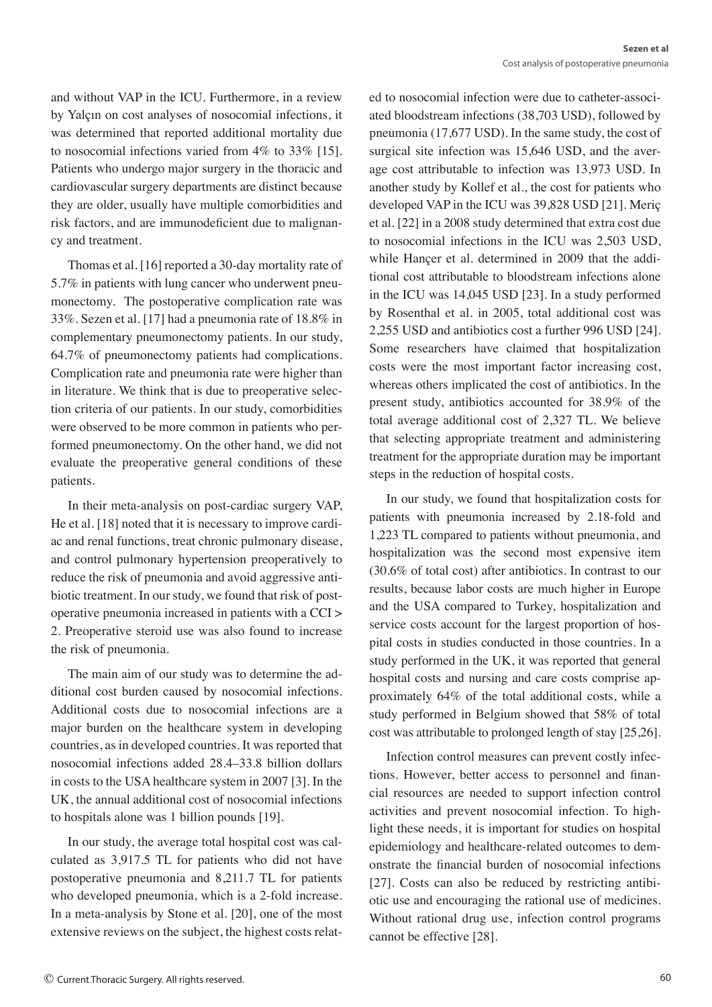and without VAP in the ICU. Furthermore, in a review by Yalçın on cost analyses of nosocomial infections, it was determined that reported additional mortality due to nosocomial infections varied from 4% to 33% [15]. Patients who undergo major surgery in the thoracic and cardiovascular surgery departments are distinct because they are older, usually have multiple comorbidities and risk factors, and are immunodeficient due to malignancy and treatment.

Thomas et al. [16] reported a 30-day mortality rate of 5.7% in patients with lung cancer who underwent pneumonectomy. The postoperative complication rate was 33%. Sezen et al. [17] had a pneumonia rate of 18.8% in complementary pneumonectomy patients. In our study, 64.7% of pneumonectomy patients had complications. Complication rate and pneumonia rate were higher than in literature. We think that is due to preoperative selection criteria of our patients. In our study, comorbidities were observed to be more common in patients who performed pneumonectomy. On the other hand, we did not evaluate the preoperative general conditions of these patients.

In their meta-analysis on post-cardiac surgery VAP, He et al. [18] noted that it is necessary to improve cardiac and renal functions, treat chronic pulmonary disease, and control pulmonary hypertension preoperatively to reduce the risk of pneumonia and avoid aggressive antibiotic treatment. In our study, we found that risk of postoperative pneumonia increased in patients with a CCI > 2. Preoperative steroid use was also found to increase the risk of pneumonia.

The main aim of our study was to determine the additional cost burden caused by nosocomial infections. Additional costs due to nosocomial infections are a major burden on the healthcare system in developing countries, as in developed countries. It was reported that nosocomial infections added 28.4–33.8 billion dollars in costs to the USA healthcare system in 2007 [3]. In the UK, the annual additional cost of nosocomial infections to hospitals alone was 1 billion pounds [19].

In our study, the average total hospital cost was calculated as 3,917.5 TL for patients who did not have postoperative pneumonia and 8,211.7 TL for patients who developed pneumonia, which is a 2-fold increase. In a meta-analysis by Stone et al. [20], one of the most extensive reviews on the subject, the highest costs related to nosocomial infection were due to catheter-associated bloodstream infections (38,703 USD), followed by pneumonia (17,677 USD). In the same study, the cost of surgical site infection was 15,646 USD, and the average cost attributable to infection was 13,973 USD. In another study by Kollef et al., the cost for patients who developed VAP in the ICU was 39,828 USD [21]. Meriç et al. [22] in a 2008 study determined that extra cost due to nosocomial infections in the ICU was 2,503 USD, while Hançer et al. determined in 2009 that the additional cost attributable to bloodstream infections alone in the ICU was 14,045 USD [23]. In a study performed by Rosenthal et al. in 2005, total additional cost was 2,255 USD and antibiotics cost a further 996 USD [24]. Some researchers have claimed that hospitalization costs were the most important factor increasing cost, whereas others implicated the cost of antibiotics. In the present study, antibiotics accounted for 38.9% of the total average additional cost of 2,327 TL. We believe that selecting appropriate treatment and administering treatment for the appropriate duration may be important steps in the reduction of hospital costs.

In our study, we found that hospitalization costs for patients with pneumonia increased by 2.18-fold and 1,223 TL compared to patients without pneumonia, and hospitalization was the second most expensive item (30.6% of total cost) after antibiotics. In contrast to our results, because labor costs are much higher in Europe and the USA compared to Turkey, hospitalization and service costs account for the largest proportion of hospital costs in studies conducted in those countries. In a study performed in the UK, it was reported that general hospital costs and nursing and care costs comprise approximately 64% of the total additional costs, while a study performed in Belgium showed that 58% of total cost was attributable to prolonged length of stay [25,26].

Infection control measures can prevent costly infections. However, better access to personnel and financial resources are needed to support infection control activities and prevent nosocomial infection. To highlight these needs, it is important for studies on hospital epidemiology and healthcare-related outcomes to demonstrate the financial burden of nosocomial infections [27]. Costs can also be reduced by restricting antibiotic use and encouraging the rational use of medicines. Without rational drug use, infection control programs cannot be effective [28].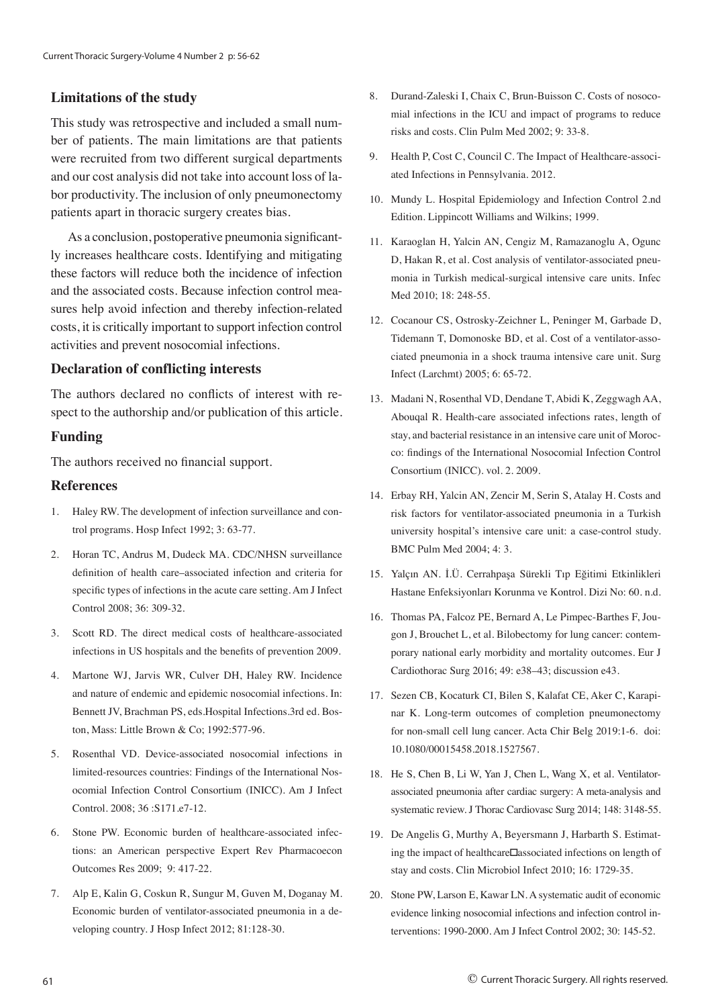### **Limitations of the study**

This study was retrospective and included a small number of patients. The main limitations are that patients were recruited from two different surgical departments and our cost analysis did not take into account loss of labor productivity. The inclusion of only pneumonectomy patients apart in thoracic surgery creates bias.

As a conclusion, postoperative pneumonia significantly increases healthcare costs. Identifying and mitigating these factors will reduce both the incidence of infection and the associated costs. Because infection control measures help avoid infection and thereby infection-related costs, it is critically important to support infection control activities and prevent nosocomial infections.

#### **Declaration of conflicting interests**

The authors declared no conflicts of interest with respect to the authorship and/or publication of this article.

#### **Funding**

The authors received no financial support.

#### **References**

- 1. Haley RW. The development of infection surveillance and control programs. Hosp Infect 1992; 3: 63-77.
- 2. Horan TC, Andrus M, Dudeck MA. CDC/NHSN surveillance definition of health care–associated infection and criteria for specific types of infections in the acute care setting. Am J Infect Control 2008; 36: 309-32.
- 3. Scott RD. The direct medical costs of healthcare-associated infections in US hospitals and the benefits of prevention 2009.
- 4. Martone WJ, Jarvis WR, Culver DH, Haley RW. Incidence and nature of endemic and epidemic nosocomial infections. In: Bennett JV, Brachman PS, eds.Hospital Infections.3rd ed. Boston, Mass: Little Brown & Co; 1992:577-96.
- 5. Rosenthal VD. Device-associated nosocomial infections in limited-resources countries: Findings of the International Nosocomial Infection Control Consortium (INICC). Am J Infect Control. 2008; 36 :S171.e7-12.
- 6. Stone PW. Economic burden of healthcare-associated infections: an American perspective Expert Rev Pharmacoecon Outcomes Res 2009; 9: 417-22.
- 7. Alp E, Kalin G, Coskun R, Sungur M, Guven M, Doganay M. Economic burden of ventilator-associated pneumonia in a developing country. J Hosp Infect 2012; 81:128-30.
- 8. Durand-Zaleski I, Chaix C, Brun-Buisson C. Costs of nosocomial infections in the ICU and impact of programs to reduce risks and costs. Clin Pulm Med 2002; 9: 33-8.
- 9. Health P, Cost C, Council C. The Impact of Healthcare-associated Infections in Pennsylvania. 2012.
- 10. Mundy L. Hospital Epidemiology and Infection Control 2.nd Edition. Lippincott Williams and Wilkins; 1999.
- 11. Karaoglan H, Yalcin AN, Cengiz M, Ramazanoglu A, Ogunc D, Hakan R, et al. Cost analysis of ventilator-associated pneumonia in Turkish medical-surgical intensive care units. Infec Med 2010; 18: 248-55.
- 12. Cocanour CS, Ostrosky-Zeichner L, Peninger M, Garbade D, Tidemann T, Domonoske BD, et al. Cost of a ventilator-associated pneumonia in a shock trauma intensive care unit. Surg Infect (Larchmt) 2005; 6: 65-72.
- 13. Madani N, Rosenthal VD, Dendane T, Abidi K, Zeggwagh AA, Abouqal R. Health-care associated infections rates, length of stay, and bacterial resistance in an intensive care unit of Morocco: findings of the International Nosocomial Infection Control Consortium (INICC). vol. 2. 2009.
- 14. Erbay RH, Yalcin AN, Zencir M, Serin S, Atalay H. Costs and risk factors for ventilator-associated pneumonia in a Turkish university hospital's intensive care unit: a case-control study. BMC Pulm Med 2004; 4: 3.
- 15. Yalçın AN. İ.Ü. Cerrahpaşa Sürekli Tıp Eğitimi Etkinlikleri Hastane Enfeksiyonları Korunma ve Kontrol. Dizi No: 60. n.d.
- 16. Thomas PA, Falcoz PE, Bernard A, Le Pimpec-Barthes F, Jougon J, Brouchet L, et al. Bilobectomy for lung cancer: contemporary national early morbidity and mortality outcomes. Eur J Cardiothorac Surg 2016; 49: e38–43; discussion e43.
- 17. Sezen CB, Kocaturk CI, Bilen S, Kalafat CE, Aker C, Karapinar K. Long-term outcomes of completion pneumonectomy for non-small cell lung cancer. Acta Chir Belg 2019:1-6. doi: 10.1080/00015458.2018.1527567.
- 18. He S, Chen B, Li W, Yan J, Chen L, Wang X, et al. Ventilatorassociated pneumonia after cardiac surgery: A meta-analysis and systematic review. J Thorac Cardiovasc Surg 2014; 148: 3148-55.
- 19. De Angelis G, Murthy A, Beyersmann J, Harbarth S. Estimating the impact of healthcare□associated infections on length of stay and costs. Clin Microbiol Infect 2010; 16: 1729-35.
- 20. Stone PW, Larson E, Kawar LN. A systematic audit of economic evidence linking nosocomial infections and infection control interventions: 1990-2000. Am J Infect Control 2002; 30: 145-52.